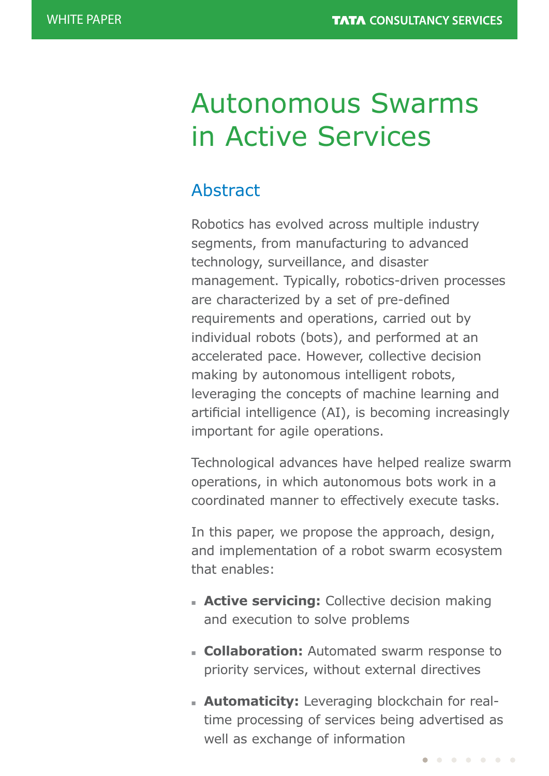# Autonomous Swarms in Active Services

# Abstract

Robotics has evolved across multiple industry segments, from manufacturing to advanced technology, surveillance, and disaster management. Typically, robotics-driven processes are characterized by a set of pre-defined requirements and operations, carried out by individual robots (bots), and performed at an accelerated pace. However, collective decision making by autonomous intelligent robots, leveraging the concepts of machine learning and artificial intelligence (AI), is becoming increasingly important for agile operations.

Technological advances have helped realize swarm operations, in which autonomous bots work in a coordinated manner to effectively execute tasks.

In this paper, we propose the approach, design, and implementation of a robot swarm ecosystem that enables:

- **Active servicing:** Collective decision making and execution to solve problems
- **collaboration:** Automated swarm response to priority services, without external directives
- **Automaticity:** Leveraging blockchain for realtime processing of services being advertised as well as exchange of information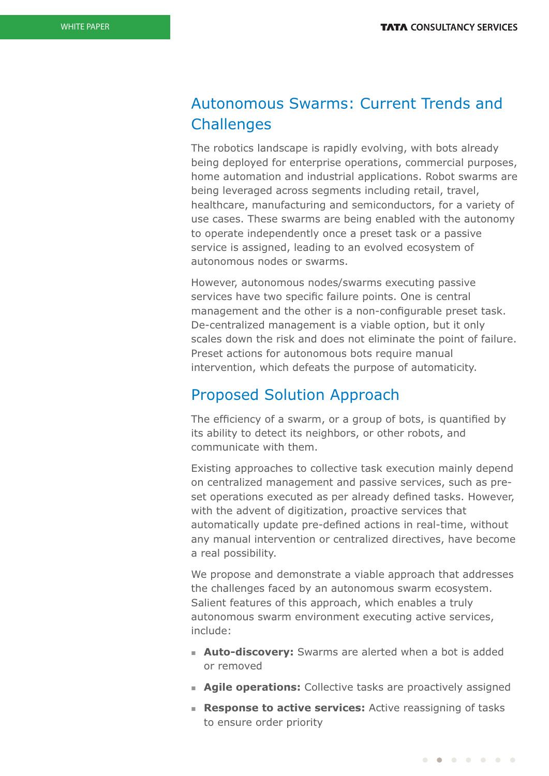## Autonomous Swarms: Current Trends and **Challenges**

The robotics landscape is rapidly evolving, with bots already being deployed for enterprise operations, commercial purposes, home automation and industrial applications. Robot swarms are being leveraged across segments including retail, travel, healthcare, manufacturing and semiconductors, for a variety of use cases. These swarms are being enabled with the autonomy to operate independently once a preset task or a passive service is assigned, leading to an evolved ecosystem of autonomous nodes or swarms.

However, autonomous nodes/swarms executing passive services have two specific failure points. One is central management and the other is a non-configurable preset task. De-centralized management is a viable option, but it only scales down the risk and does not eliminate the point of failure. Preset actions for autonomous bots require manual intervention, which defeats the purpose of automaticity.

### Proposed Solution Approach

The efficiency of a swarm, or a group of bots, is quantified by its ability to detect its neighbors, or other robots, and communicate with them.

Existing approaches to collective task execution mainly depend on centralized management and passive services, such as preset operations executed as per already defined tasks. However, with the advent of digitization, proactive services that automatically update pre-defined actions in real-time, without any manual intervention or centralized directives, have become a real possibility.

We propose and demonstrate a viable approach that addresses the challenges faced by an autonomous swarm ecosystem. Salient features of this approach, which enables a truly autonomous swarm environment executing active services, include:

- **Auto-discovery:** Swarms are alerted when a bot is added or removed
- **Agile operations:** Collective tasks are proactively assigned
- **Response to active services:** Active reassigning of tasks to ensure order priority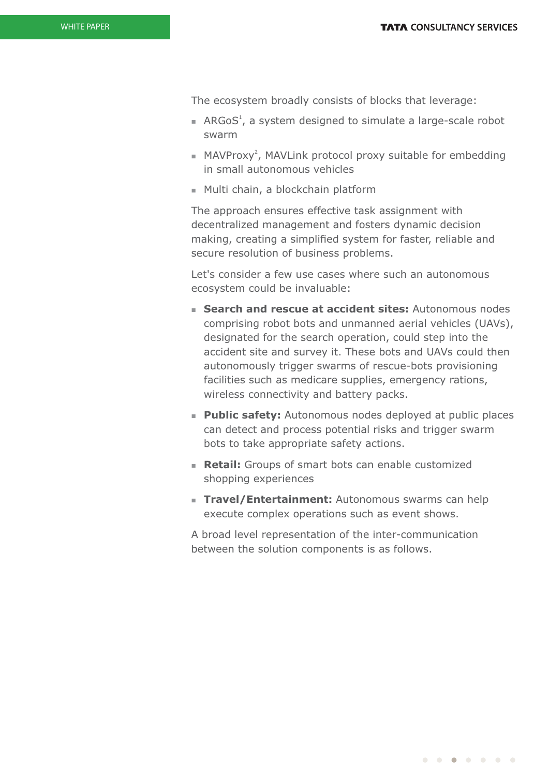The ecosystem broadly consists of blocks that leverage:

- ARGoS<sup>1</sup>, a system designed to simulate a large-scale robot swarm
- $M$ MAVProxy<sup>2</sup>, MAVLink protocol proxy suitable for embedding in small autonomous vehicles
- Multi chain, a blockchain platform

The approach ensures effective task assignment with decentralized management and fosters dynamic decision making, creating a simplified system for faster, reliable and secure resolution of business problems.

Let's consider a few use cases where such an autonomous ecosystem could be invaluable:

- **n** Search and rescue at accident sites: Autonomous nodes comprising robot bots and unmanned aerial vehicles (UAVs), designated for the search operation, could step into the accident site and survey it. These bots and UAVs could then autonomously trigger swarms of rescue-bots provisioning facilities such as medicare supplies, emergency rations, wireless connectivity and battery packs.
- **Public safety:** Autonomous nodes deployed at public places can detect and process potential risks and trigger swarm bots to take appropriate safety actions.
- **Retail:** Groups of smart bots can enable customized shopping experiences
- **Travel/Entertainment:** Autonomous swarms can help execute complex operations such as event shows.

A broad level representation of the inter-communication between the solution components is as follows.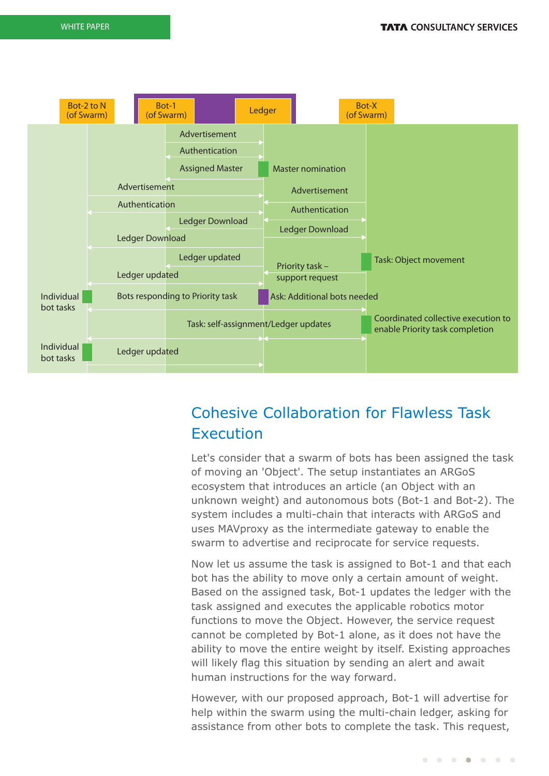

# Cohesive Collaboration for Flawless Task Execution

Let's consider that a swarm of bots has been assigned the task of moving an 'Object'. The setup instantiates an ARGoS ecosystem that introduces an article (an Object with an unknown weight) and autonomous bots (Bot-1 and Bot-2). The system includes a multi-chain that interacts with ARGoS and uses MAVproxy as the intermediate gateway to enable the swarm to advertise and reciprocate for service requests.

Now let us assume the task is assigned to Bot-1 and that each bot has the ability to move only a certain amount of weight. Based on the assigned task, Bot-1 updates the ledger with the task assigned and executes the applicable robotics motor functions to move the Object. However, the service request cannot be completed by Bot-1 alone, as it does not have the ability to move the entire weight by itself. Existing approaches will likely flag this situation by sending an alert and await human instructions for the way forward.

However, with our proposed approach, Bot-1 will advertise for help within the swarm using the multi-chain ledger, asking for assistance from other bots to complete the task. This request,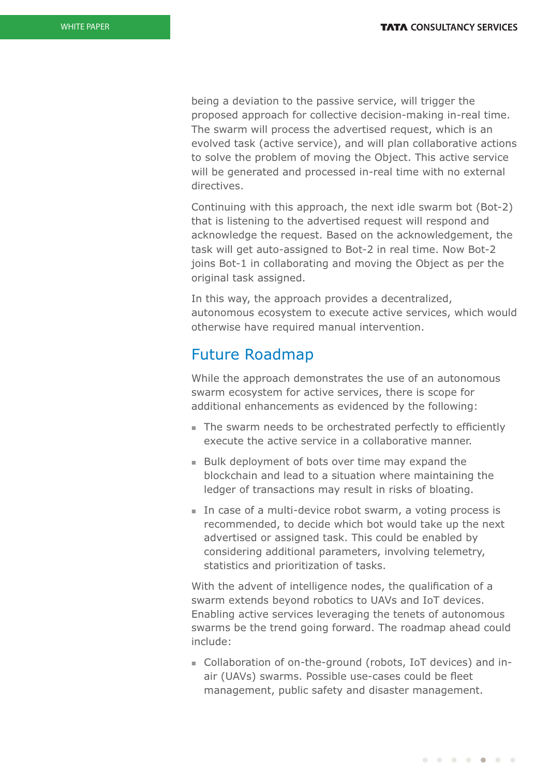being a deviation to the passive service, will trigger the proposed approach for collective decision-making in-real time. The swarm will process the advertised request, which is an evolved task (active service), and will plan collaborative actions to solve the problem of moving the Object. This active service will be generated and processed in-real time with no external directives.

Continuing with this approach, the next idle swarm bot (Bot-2) that is listening to the advertised request will respond and acknowledge the request. Based on the acknowledgement, the task will get auto-assigned to Bot-2 in real time. Now Bot-2 joins Bot-1 in collaborating and moving the Object as per the original task assigned.

In this way, the approach provides a decentralized, autonomous ecosystem to execute active services, which would otherwise have required manual intervention.

### Future Roadmap

While the approach demonstrates the use of an autonomous swarm ecosystem for active services, there is scope for additional enhancements as evidenced by the following:

- The swarm needs to be orchestrated perfectly to efficiently execute the active service in a collaborative manner.
- Bulk deployment of bots over time may expand the blockchain and lead to a situation where maintaining the ledger of transactions may result in risks of bloating.
- In case of a multi-device robot swarm, a voting process is recommended, to decide which bot would take up the next advertised or assigned task. This could be enabled by considering additional parameters, involving telemetry, statistics and prioritization of tasks.

With the advent of intelligence nodes, the qualification of a swarm extends beyond robotics to UAVs and IoT devices. Enabling active services leveraging the tenets of autonomous swarms be the trend going forward. The roadmap ahead could include:

<sup>n</sup> Collaboration of on-the-ground (robots, IoT devices) and inair (UAVs) swarms. Possible use-cases could be fleet management, public safety and disaster management.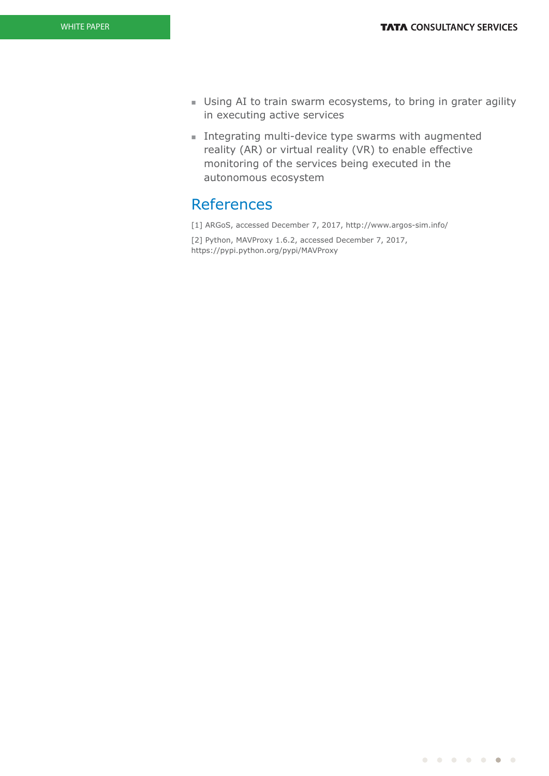- **I** Using AI to train swarm ecosystems, to bring in grater agility in executing active services
- $\blacksquare$  Integrating multi-device type swarms with augmented reality (AR) or virtual reality (VR) to enable effective monitoring of the services being executed in the autonomous ecosystem

### References

[1] ARGoS, accessed December 7, 2017, http://www.argos-sim.info/ [2] Python, MAVProxy 1.6.2, accessed December 7, 2017, https://pypi.python.org/pypi/MAVProxy